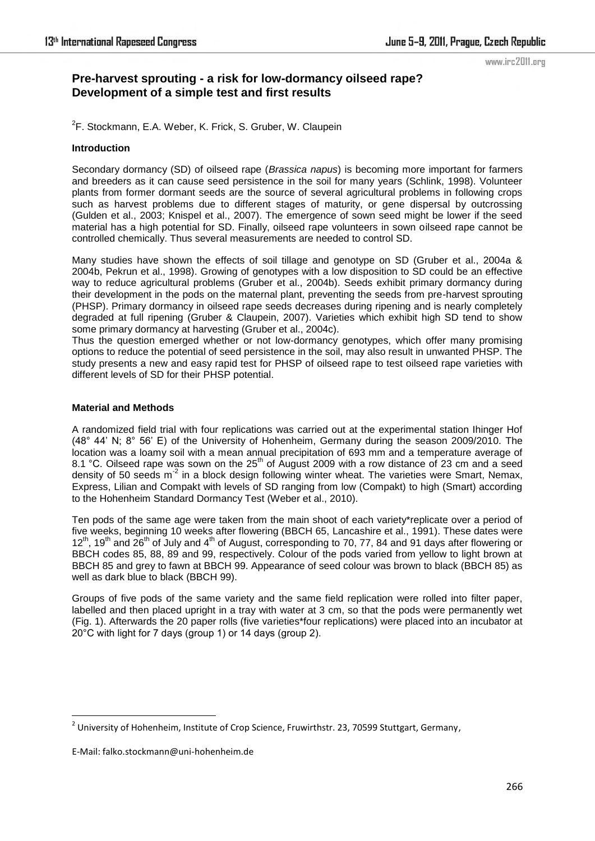### www.irc2011.org

# **Pre-harvest sprouting - a risk for low-dormancy oilseed rape? Development of a simple test and first results**

<sup>2</sup>F. Stockmann, E.A. Weber, K. Frick, S. Gruber, W. Claupein

## **Introduction**

Secondary dormancy (SD) of oilseed rape (*Brassica napus*) is becoming more important for farmers and breeders as it can cause seed persistence in the soil for many years (Schlink, 1998). Volunteer plants from former dormant seeds are the source of several agricultural problems in following crops such as harvest problems due to different stages of maturity, or gene dispersal by outcrossing (Gulden et al., 2003; Knispel et al., 2007). The emergence of sown seed might be lower if the seed material has a high potential for SD. Finally, oilseed rape volunteers in sown oilseed rape cannot be controlled chemically. Thus several measurements are needed to control SD.

Many studies have shown the effects of soil tillage and genotype on SD (Gruber et al., 2004a & 2004b, Pekrun et al., 1998). Growing of genotypes with a low disposition to SD could be an effective way to reduce agricultural problems (Gruber et al., 2004b). Seeds exhibit primary dormancy during their development in the pods on the maternal plant, preventing the seeds from pre-harvest sprouting (PHSP). Primary dormancy in oilseed rape seeds decreases during ripening and is nearly completely degraded at full ripening (Gruber & Claupein, 2007). Varieties which exhibit high SD tend to show some primary dormancy at harvesting (Gruber et al., 2004c).

Thus the question emerged whether or not low-dormancy genotypes, which offer many promising options to reduce the potential of seed persistence in the soil, may also result in unwanted PHSP. The study presents a new and easy rapid test for PHSP of oilseed rape to test oilseed rape varieties with different levels of SD for their PHSP potential.

## **Material and Methods**

A randomized field trial with four replications was carried out at the experimental station Ihinger Hof (48° 44' N; 8° 56' E) of the University of Hohenheim, Germany during the season 2009/2010. The location was a loamy soil with a mean annual precipitation of 693 mm and a temperature average of 8.1 °C. Oilseed rape was sown on the  $25<sup>th</sup>$  of August 2009 with a row distance of 23 cm and a seed density of 50 seeds m<sup>-2</sup> in a block design following winter wheat. The varieties were Smart, Nemax, Express, Lilian and Compakt with levels of SD ranging from low (Compakt) to high (Smart) according to the Hohenheim Standard Dormancy Test (Weber et al., 2010).

Ten pods of the same age were taken from the main shoot of each variety\*replicate over a period of five weeks, beginning 10 weeks after flowering (BBCH 65, Lancashire et al., 1991). These dates were 12<sup>th</sup>, 19<sup>th</sup> and 26<sup>th</sup> of July and 4<sup>th</sup> of August, corresponding to 70, 77, 84 and 91 days after flowering or BBCH codes 85, 88, 89 and 99, respectively. Colour of the pods varied from yellow to light brown at BBCH 85 and grey to fawn at BBCH 99. Appearance of seed colour was brown to black (BBCH 85) as well as dark blue to black (BBCH 99).

Groups of five pods of the same variety and the same field replication were rolled into filter paper, labelled and then placed upright in a tray with water at 3 cm, so that the pods were permanently wet (Fig. 1). Afterwards the 20 paper rolls (five varieties\*four replications) were placed into an incubator at 20°C with light for 7 days (group 1) or 14 days (group 2).

1

<sup>&</sup>lt;sup>2</sup> University of Hohenheim, Institute of Crop Science, Fruwirthstr. 23, 70599 Stuttgart, Germany,

E-Mail: falko.stockmann@uni-hohenheim.de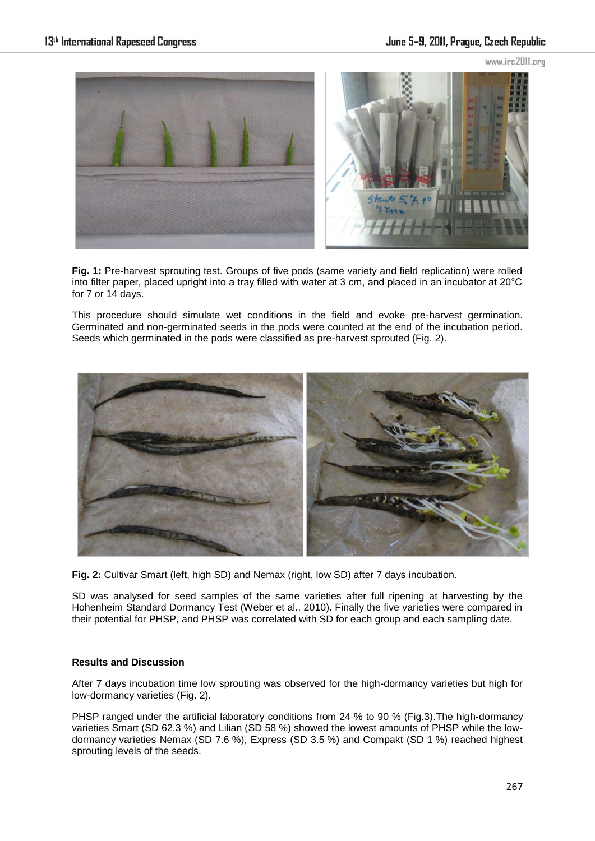

**Fig. 1:** Pre-harvest sprouting test. Groups of five pods (same variety and field replication) were rolled into filter paper, placed upright into a tray filled with water at 3 cm, and placed in an incubator at 20°C for 7 or 14 days.

This procedure should simulate wet conditions in the field and evoke pre-harvest germination. Germinated and non-germinated seeds in the pods were counted at the end of the incubation period. Seeds which germinated in the pods were classified as pre-harvest sprouted (Fig. 2).



**Fig. 2:** Cultivar Smart (left, high SD) and Nemax (right, low SD) after 7 days incubation.

SD was analysed for seed samples of the same varieties after full ripening at harvesting by the Hohenheim Standard Dormancy Test (Weber et al., 2010). Finally the five varieties were compared in their potential for PHSP, and PHSP was correlated with SD for each group and each sampling date.

## **Results and Discussion**

After 7 days incubation time low sprouting was observed for the high-dormancy varieties but high for low-dormancy varieties (Fig. 2).

PHSP ranged under the artificial laboratory conditions from 24 % to 90 % (Fig.3).The high-dormancy varieties Smart (SD 62.3 %) and Lilian (SD 58 %) showed the lowest amounts of PHSP while the lowdormancy varieties Nemax (SD 7.6 %), Express (SD 3.5 %) and Compakt (SD 1 %) reached highest sprouting levels of the seeds.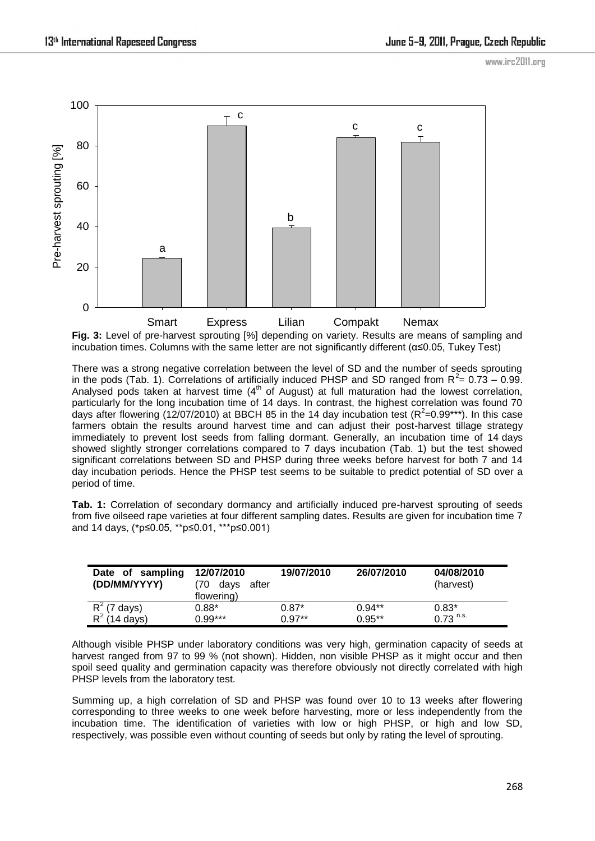www.irc2011.org



**Fig. 3:** Level of pre-harvest sprouting [%] depending on variety. Results are means of sampling and incubation times. Columns with the same letter are not significantly different ( $\alpha \le 0.05$ , Tukey Test)

There was a strong negative correlation between the level of SD and the number of seeds sprouting in the pods (Tab. 1). Correlations of artificially induced PHSP and SD ranged from  $R^2 = 0.73 - 0.99$ . Analysed pods taken at harvest time  $(4<sup>th</sup>$  of August) at full maturation had the lowest correlation, particularly for the long incubation time of 14 days. In contrast, the highest correlation was found 70 days after flowering (12/07/2010) at BBCH 85 in the 14 day incubation test ( $R^2$ =0.99\*\*\*). In this case farmers obtain the results around harvest time and can adjust their post-harvest tillage strategy immediately to prevent lost seeds from falling dormant. Generally, an incubation time of 14 days showed slightly stronger correlations compared to 7 days incubation (Tab. 1) but the test showed significant correlations between SD and PHSP during three weeks before harvest for both 7 and 14 day incubation periods. Hence the PHSP test seems to be suitable to predict potential of SD over a period of time.

**Tab. 1:** Correlation of secondary dormancy and artificially induced pre-harvest sprouting of seeds from five oilseed rape varieties at four different sampling dates. Results are given for incubation time 7 and 14 days, (\*p≤0.05, \*\*p≤0.01, \*\*\*p≤0.001)

| Date of sampling<br>(DD/MM/YYYY)  | 12/07/2010<br>70<br>after<br>days<br>flowering) | 19/07/2010 | 26/07/2010 | 04/08/2010<br>(harvest) |
|-----------------------------------|-------------------------------------------------|------------|------------|-------------------------|
| $R^2$ (7 days)<br>$R^2$ (14 days) | $0.88*$                                         | $0.87*$    | $0.94**$   | $0.83*$                 |
|                                   | $0.99***$                                       | $0.97**$   | $0.95**$   | $0.73$ <sup>n.s.</sup>  |

Although visible PHSP under laboratory conditions was very high, germination capacity of seeds at harvest ranged from 97 to 99 % (not shown). Hidden, non visible PHSP as it might occur and then spoil seed quality and germination capacity was therefore obviously not directly correlated with high PHSP levels from the laboratory test.

Summing up, a high correlation of SD and PHSP was found over 10 to 13 weeks after flowering corresponding to three weeks to one week before harvesting, more or less independently from the incubation time. The identification of varieties with low or high PHSP, or high and low SD, respectively, was possible even without counting of seeds but only by rating the level of sprouting.